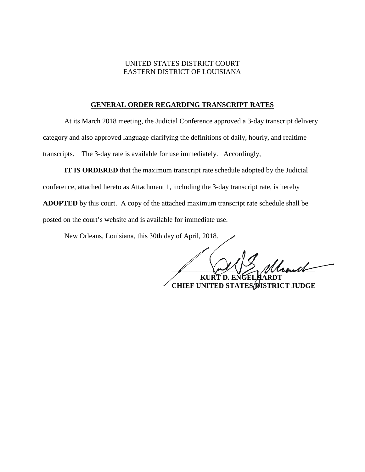## UNITED STATES DISTRICT COURT EASTERN DISTRICT OF LOUISIANA

## **GENERAL ORDER REGARDING TRANSCRIPT RATES**

At its March 2018 meeting, the Judicial Conference approved a 3-day transcript delivery category and also approved language clarifying the definitions of daily, hourly, and realtime transcripts. The 3-day rate is available for use immediately. Accordingly,

**IT IS ORDERED** that the maximum transcript rate schedule adopted by the Judicial conference, attached hereto as Attachment 1, including the 3-day transcript rate, is hereby **ADOPTED** by this court. A copy of the attached maximum transcript rate schedule shall be posted on the court's website and is available for immediate use.

New Orleans, Louisiana, this 30th day of April, 2018.

 $\mathcal{U}$ **KURT D. ENGE CHIEF UNITED STATES DISTRICT JUDGE**